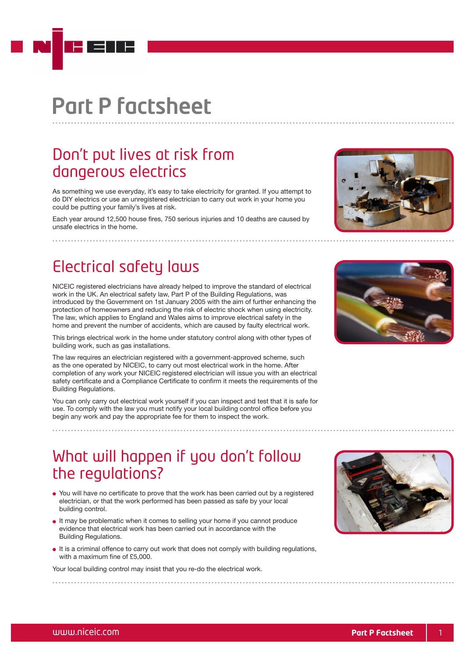# Part P factsheet

### Don't put lives at risk from dangerous electrics

As something we use everyday, it's easy to take electricity for granted. If you attempt to do DIY electrics or use an unregistered electrician to carry out work in your home you could be putting your family's lives at risk.

Each year around 12,500 house fires, 750 serious injuries and 10 deaths are caused by unsafe electrics in the home.

### Electrical safety laws

NICEIC registered electricians have already helped to improve the standard of electrical work in the UK. An electrical safety law, Part P of the Building Regulations, was introduced by the Government on 1st January 2005 with the aim of further enhancing the protection of homeowners and reducing the risk of electric shock when using electricity. The law, which applies to England and Wales aims to improve electrical safety in the home and prevent the number of accidents, which are caused by faulty electrical work.

This brings electrical work in the home under statutory control along with other types of building work, such as gas installations.

The law requires an electrician registered with a government-approved scheme, such as the one operated by NICEIC, to carry out most electrical work in the home. After completion of any work your NICEIC registered electrician will issue you with an electrical safety certificate and a Compliance Certificate to confirm it meets the requirements of the Building Regulations.

You can only carry out electrical work yourself if you can inspect and test that it is safe for use. To comply with the law you must notify your local building control office before you begin any work and pay the appropriate fee for them to inspect the work.

### What will happen if you don't follow the regulations?

- You will have no certificate to prove that the work has been carried out by a registered electrician, or that the work performed has been passed as safe by your local building control.
- It may be problematic when it comes to selling your home if you cannot produce evidence that electrical work has been carried out in accordance with the Building Regulations.
- It is a criminal offence to carry out work that does not comply with building regulations, with a maximum fine of £5,000.

Your local building control may insist that you re-do the electrical work.





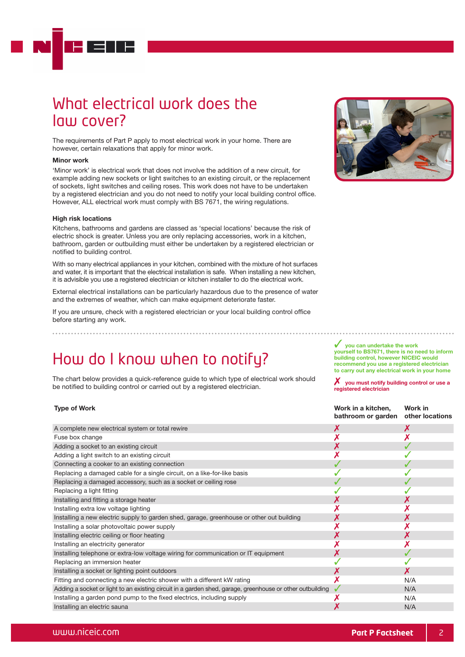### What electrical work does the law cover?

The requirements of Part P apply to most electrical work in your home. There are however, certain relaxations that apply for minor work.

#### Minor work

'Minor work' is electrical work that does not involve the addition of a new circuit, for example adding new sockets or light switches to an existing circuit, or the replacement of sockets, light switches and ceiling roses. This work does not have to be undertaken by a registered electrician and you do not need to notify your local building control office. However, ALL electrical work must comply with BS 7671, the wiring regulations.

#### High risk locations

Kitchens, bathrooms and gardens are classed as 'special locations' because the risk of electric shock is greater. Unless you are only replacing accessories, work in a kitchen, bathroom, garden or outbuilding must either be undertaken by a registered electrician or notified to building control.

With so many electrical appliances in your kitchen, combined with the mixture of hot surfaces and water, it is important that the electrical installation is safe. When installing a new kitchen, it is advisible you use a registered electrician or kitchen installer to do the electrical work.

External electrical installations can be particularly hazardous due to the presence of water and the extremes of weather, which can make equipment deteriorate faster.

If you are unsure, check with a registered electrician or your local building control office before starting any work.

### How do I know when to notify?

The chart below provides a quick-reference guide to which type of electrical work should be notified to building control or carried out by a registered electrician.

### Type of Work

|                                                                                                           | baanvonn or garach - oaier iocaaons |     |
|-----------------------------------------------------------------------------------------------------------|-------------------------------------|-----|
| A complete new electrical system or total rewire                                                          |                                     |     |
| Fuse box change                                                                                           |                                     |     |
| Adding a socket to an existing circuit                                                                    |                                     |     |
| Adding a light switch to an existing circuit                                                              |                                     |     |
| Connecting a cooker to an existing connection                                                             |                                     |     |
| Replacing a damaged cable for a single circuit, on a like-for-like basis                                  |                                     |     |
| Replacing a damaged accessory, such as a socket or ceiling rose                                           |                                     |     |
| Replacing a light fitting                                                                                 |                                     |     |
| Installing and fitting a storage heater                                                                   |                                     |     |
| Installing extra low voltage lighting                                                                     |                                     |     |
| Installing a new electric supply to garden shed, garage, greenhouse or other out building                 |                                     |     |
| Installing a solar photovoltaic power supply                                                              |                                     |     |
| Installing electric ceiling or floor heating                                                              |                                     |     |
| Installing an electricity generator                                                                       |                                     |     |
| Installing telephone or extra-low voltage wiring for communication or IT equipment                        |                                     |     |
| Replacing an immersion heater                                                                             |                                     |     |
| Installing a socket or lighting point outdoors                                                            |                                     |     |
| Fitting and connecting a new electric shower with a different kW rating                                   |                                     | N/A |
| Adding a socket or light to an existing circuit in a garden shed, garage, greenhouse or other outbuilding |                                     | N/A |
| Installing a garden pond pump to the fixed electrics, including supply                                    |                                     | N/A |
| Installing an electric sauna                                                                              |                                     | N/A |



you can undertake the work yourself to BS7671, there is no need to inform building control, however NICEIC would recommend you use a registered electrician to carry out any electrical work in your home

 $\boldsymbol{X}$  vou must notify building control or use a registered electrician

> Work in other locations

Work in a kitchen, bathroom or garden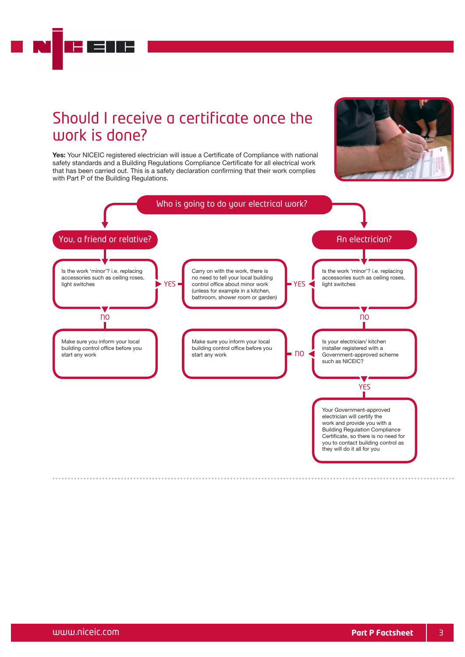### Should I receive a certificate once the work is done?



Yes: Your NICEIC registered electrician will issue a Certificate of Compliance with national safety standards and a Building Regulations Compliance Certificate for all electrical work that has been carried out. This is a safety declaration confirming that their work complies with Part P of the Building Regulations.